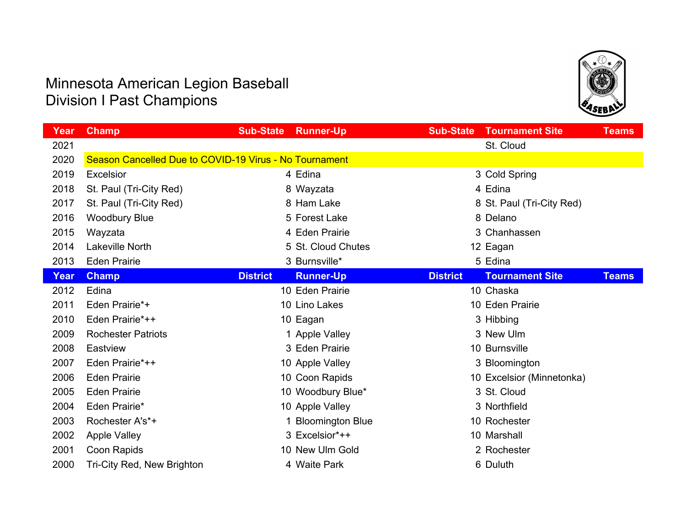

| Year | <b>Champ</b>                                           | <b>Sub-State</b> | <b>Runner-Up</b>        | <b>Sub-State</b> | <b>Tournament Site</b>    | <b>Teams</b> |
|------|--------------------------------------------------------|------------------|-------------------------|------------------|---------------------------|--------------|
| 2021 |                                                        |                  |                         |                  | St. Cloud                 |              |
| 2020 | Season Cancelled Due to COVID-19 Virus - No Tournament |                  |                         |                  |                           |              |
| 2019 | Excelsior                                              |                  | 4 Edina                 |                  | 3 Cold Spring             |              |
| 2018 | St. Paul (Tri-City Red)                                |                  | 8 Wayzata               |                  | 4 Edina                   |              |
| 2017 | St. Paul (Tri-City Red)                                |                  | 8 Ham Lake              |                  | 8 St. Paul (Tri-City Red) |              |
| 2016 | <b>Woodbury Blue</b>                                   |                  | 5 Forest Lake           |                  | 8 Delano                  |              |
| 2015 | Wayzata                                                |                  | 4 Eden Prairie          |                  | 3 Chanhassen              |              |
| 2014 | Lakeville North                                        |                  | 5 St. Cloud Chutes      |                  | 12 Eagan                  |              |
| 2013 | <b>Eden Prairie</b>                                    |                  | 3 Burnsville*           |                  | 5 Edina                   |              |
| Year | <b>Champ</b>                                           | <b>District</b>  | <b>Runner-Up</b>        | <b>District</b>  | <b>Tournament Site</b>    | <b>Teams</b> |
| 2012 | Edina                                                  |                  | 10 Eden Prairie         |                  | 10 Chaska                 |              |
| 2011 | Eden Prairie*+                                         |                  | 10 Lino Lakes           |                  | 10 Eden Prairie           |              |
| 2010 | Eden Prairie*++                                        |                  | 10 Eagan                |                  | 3 Hibbing                 |              |
| 2009 | <b>Rochester Patriots</b>                              |                  | 1 Apple Valley          |                  | 3 New Ulm                 |              |
| 2008 | Eastview                                               |                  | 3 Eden Prairie          |                  | 10 Burnsville             |              |
| 2007 | Eden Prairie*++                                        |                  | 10 Apple Valley         |                  | 3 Bloomington             |              |
| 2006 | <b>Eden Prairie</b>                                    |                  | 10 Coon Rapids          |                  | 10 Excelsior (Minnetonka) |              |
| 2005 | <b>Eden Prairie</b>                                    |                  | 10 Woodbury Blue*       |                  | 3 St. Cloud               |              |
| 2004 | Eden Prairie*                                          |                  | 10 Apple Valley         |                  | 3 Northfield              |              |
| 2003 | Rochester A's*+                                        |                  | <b>Bloomington Blue</b> |                  | 10 Rochester              |              |
| 2002 | <b>Apple Valley</b>                                    |                  | 3 Excelsior*++          |                  | 10 Marshall               |              |
| 2001 | Coon Rapids                                            |                  | 10 New Ulm Gold         |                  | 2 Rochester               |              |
| 2000 | Tri-City Red, New Brighton                             |                  | 4 Waite Park            |                  | 6 Duluth                  |              |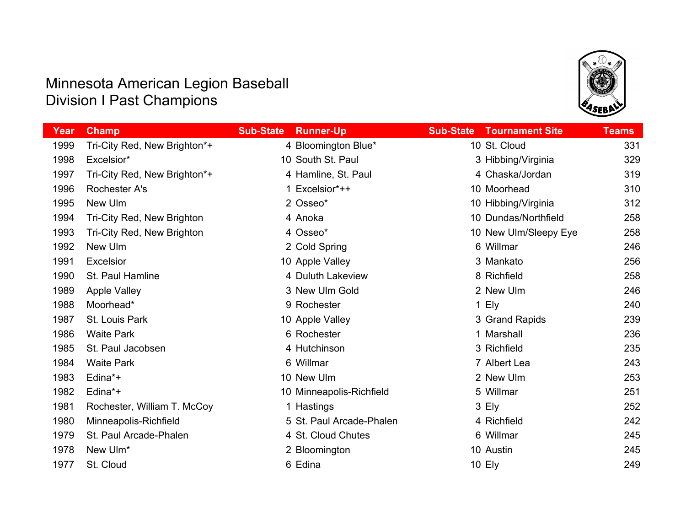

| Year | <b>Champ</b>                 | <b>Sub-State</b> | <b>Runner-Up</b>         | <b>Sub-State</b> | <b>Tournament Site</b> | <b>Teams</b> |
|------|------------------------------|------------------|--------------------------|------------------|------------------------|--------------|
| 1999 | Tri-City Red, New Brighton*+ |                  | 4 Bloomington Blue*      |                  | 10 St. Cloud           | 331          |
| 1998 | Excelsior*                   |                  | 10 South St. Paul        |                  | 3 Hibbing/Virginia     | 329          |
| 1997 | Tri-City Red, New Brighton*+ |                  | 4 Hamline, St. Paul      |                  | 4 Chaska/Jordan        | 319          |
| 1996 | <b>Rochester A's</b>         |                  | 1 Excelsior*++           |                  | 10 Moorhead            | 310          |
| 1995 | New Ulm                      |                  | 2 Osseo*                 |                  | 10 Hibbing/Virginia    | 312          |
| 1994 | Tri-City Red, New Brighton   |                  | 4 Anoka                  |                  | 10 Dundas/Northfield   | 258          |
| 1993 | Tri-City Red, New Brighton   |                  | 4 Osseo*                 |                  | 10 New Ulm/Sleepy Eye  | 258          |
| 1992 | New Ulm                      |                  | 2 Cold Spring            |                  | 6 Willmar              | 246          |
| 1991 | Excelsior                    |                  | 10 Apple Valley          |                  | 3 Mankato              | 256          |
| 1990 | St. Paul Hamline             |                  | 4 Duluth Lakeview        |                  | 8 Richfield            | 258          |
| 1989 | <b>Apple Valley</b>          |                  | 3 New Ulm Gold           |                  | 2 New Ulm              | 246          |
| 1988 | Moorhead*                    |                  | 9 Rochester              |                  | 1 Ely                  | 240          |
| 1987 | St. Louis Park               |                  | 10 Apple Valley          |                  | 3 Grand Rapids         | 239          |
| 1986 | <b>Waite Park</b>            |                  | 6 Rochester              |                  | 1 Marshall             | 236          |
| 1985 | St. Paul Jacobsen            |                  | 4 Hutchinson             |                  | 3 Richfield            | 235          |
| 1984 | <b>Waite Park</b>            |                  | 6 Willmar                |                  | 7 Albert Lea           | 243          |
| 1983 | Edina*+                      |                  | 10 New Ulm               |                  | 2 New Ulm              | 253          |
| 1982 | Edina*+                      |                  | 10 Minneapolis-Richfield |                  | 5 Willmar              | 251          |
| 1981 | Rochester, William T. McCoy  |                  | 1 Hastings               |                  | 3 Ely                  | 252          |
| 1980 | Minneapolis-Richfield        |                  | 5 St. Paul Arcade-Phalen |                  | 4 Richfield            | 242          |
| 1979 | St. Paul Arcade-Phalen       |                  | 4 St. Cloud Chutes       |                  | 6 Willmar              | 245          |
| 1978 | New Ulm*                     |                  | 2 Bloomington            |                  | 10 Austin              | 245          |
| 1977 | St. Cloud                    |                  | 6 Edina                  |                  | 10 Ely                 | 249          |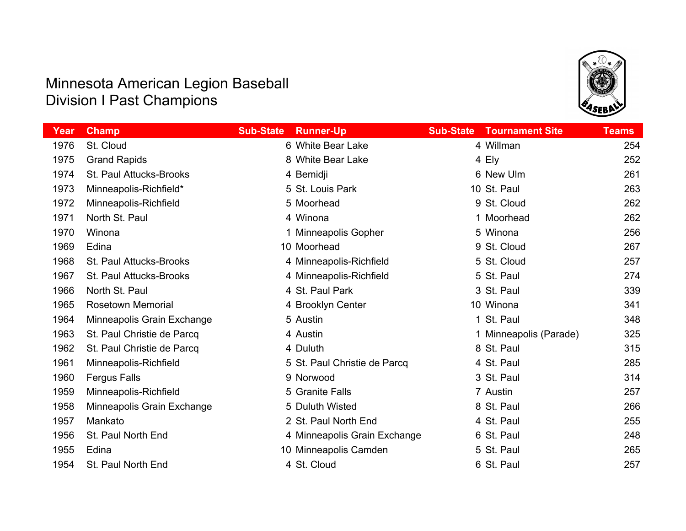

| Year | Champ                      | <b>Sub-State</b> | <b>Runner-Up</b>             | <b>Sub-State</b> | <b>Tournament Site</b> | <b>Teams</b> |
|------|----------------------------|------------------|------------------------------|------------------|------------------------|--------------|
| 1976 | St. Cloud                  |                  | 6 White Bear Lake            |                  | 4 Willman              | 254          |
| 1975 | <b>Grand Rapids</b>        |                  | 8 White Bear Lake            |                  | 4 Ely                  | 252          |
| 1974 | St. Paul Attucks-Brooks    |                  | 4 Bemidji                    |                  | 6 New Ulm              | 261          |
| 1973 | Minneapolis-Richfield*     |                  | 5 St. Louis Park             |                  | 10 St. Paul            | 263          |
| 1972 | Minneapolis-Richfield      |                  | 5 Moorhead                   |                  | 9 St. Cloud            | 262          |
| 1971 | North St. Paul             |                  | 4 Winona                     |                  | 1 Moorhead             | 262          |
| 1970 | Winona                     |                  | 1 Minneapolis Gopher         |                  | 5 Winona               | 256          |
| 1969 | Edina                      |                  | 10 Moorhead                  |                  | 9 St. Cloud            | 267          |
| 1968 | St. Paul Attucks-Brooks    |                  | 4 Minneapolis-Richfield      |                  | 5 St. Cloud            | 257          |
| 1967 | St. Paul Attucks-Brooks    |                  | 4 Minneapolis-Richfield      |                  | 5 St. Paul             | 274          |
| 1966 | North St. Paul             |                  | 4 St. Paul Park              |                  | 3 St. Paul             | 339          |
| 1965 | <b>Rosetown Memorial</b>   |                  | 4 Brooklyn Center            |                  | 10 Winona              | 341          |
| 1964 | Minneapolis Grain Exchange |                  | 5 Austin                     |                  | 1 St. Paul             | 348          |
| 1963 | St. Paul Christie de Parcq |                  | 4 Austin                     |                  | 1 Minneapolis (Parade) | 325          |
| 1962 | St. Paul Christie de Parcq |                  | 4 Duluth                     |                  | 8 St. Paul             | 315          |
| 1961 | Minneapolis-Richfield      |                  | 5 St. Paul Christie de Parcq |                  | 4 St. Paul             | 285          |
| 1960 | <b>Fergus Falls</b>        |                  | 9 Norwood                    |                  | 3 St. Paul             | 314          |
| 1959 | Minneapolis-Richfield      |                  | 5 Granite Falls              |                  | 7 Austin               | 257          |
| 1958 | Minneapolis Grain Exchange |                  | 5 Duluth Wisted              |                  | 8 St. Paul             | 266          |
| 1957 | Mankato                    |                  | 2 St. Paul North End         |                  | 4 St. Paul             | 255          |
| 1956 | St. Paul North End         |                  | 4 Minneapolis Grain Exchange |                  | 6 St. Paul             | 248          |
| 1955 | Edina                      |                  | 10 Minneapolis Camden        |                  | 5 St. Paul             | 265          |
| 1954 | St. Paul North End         |                  | 4 St. Cloud                  |                  | 6 St. Paul             | 257          |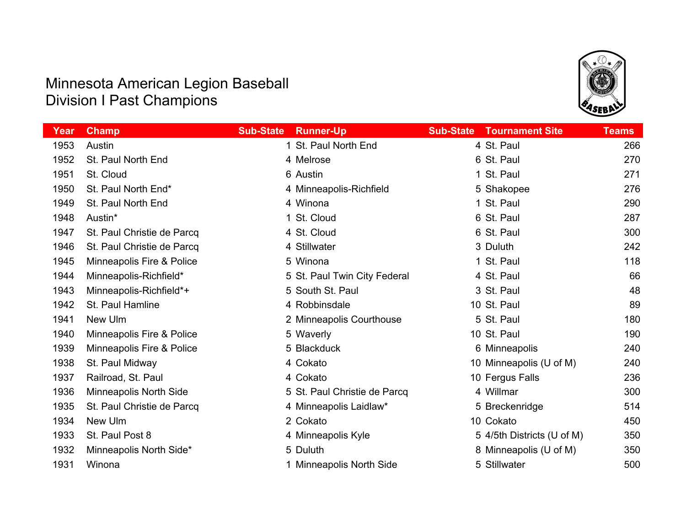

| Year | <b>Champ</b>               | <b>Sub-State</b><br><b>Runner-Up</b> | <b>Tournament Site</b><br><b>Sub-State</b> | <b>Teams</b> |
|------|----------------------------|--------------------------------------|--------------------------------------------|--------------|
| 1953 | Austin                     | 1 St. Paul North End                 | 4 St. Paul                                 | 266          |
| 1952 | St. Paul North End         | 4 Melrose                            | 6 St. Paul                                 | 270          |
| 1951 | St. Cloud                  | 6 Austin                             | 1 St. Paul                                 | 271          |
| 1950 | St. Paul North End*        | 4 Minneapolis-Richfield              | 5 Shakopee                                 | 276          |
| 1949 | St. Paul North End         | 4 Winona                             | 1 St. Paul                                 | 290          |
| 1948 | Austin*                    | 1 St. Cloud                          | 6 St. Paul                                 | 287          |
| 1947 | St. Paul Christie de Parcq | 4 St. Cloud                          | 6 St. Paul                                 | 300          |
| 1946 | St. Paul Christie de Parcq | 4 Stillwater                         | 3 Duluth                                   | 242          |
| 1945 | Minneapolis Fire & Police  | 5 Winona                             | 1 St. Paul                                 | 118          |
| 1944 | Minneapolis-Richfield*     | 5 St. Paul Twin City Federal         | 4 St. Paul                                 | 66           |
| 1943 | Minneapolis-Richfield*+    | 5 South St. Paul                     | 3 St. Paul                                 | 48           |
| 1942 | St. Paul Hamline           | 4 Robbinsdale                        | 10 St. Paul                                | 89           |
| 1941 | New Ulm                    | 2 Minneapolis Courthouse             | 5 St. Paul                                 | 180          |
| 1940 | Minneapolis Fire & Police  | 5 Waverly                            | 10 St. Paul                                | 190          |
| 1939 | Minneapolis Fire & Police  | 5 Blackduck                          | 6 Minneapolis                              | 240          |
| 1938 | St. Paul Midway            | 4 Cokato                             | 10 Minneapolis (U of M)                    | 240          |
| 1937 | Railroad, St. Paul         | 4 Cokato                             | 10 Fergus Falls                            | 236          |
| 1936 | Minneapolis North Side     | 5 St. Paul Christie de Parcq         | 4 Willmar                                  | 300          |
| 1935 | St. Paul Christie de Parcq | 4 Minneapolis Laidlaw*               | 5 Breckenridge                             | 514          |
| 1934 | New Ulm                    | 2 Cokato                             | 10 Cokato                                  | 450          |
| 1933 | St. Paul Post 8            | 4 Minneapolis Kyle                   | 5 4/5th Districts (U of M)                 | 350          |
| 1932 | Minneapolis North Side*    | 5 Duluth                             | 8 Minneapolis (U of M)                     | 350          |
| 1931 | Winona                     | 1 Minneapolis North Side             | 5 Stillwater                               | 500          |